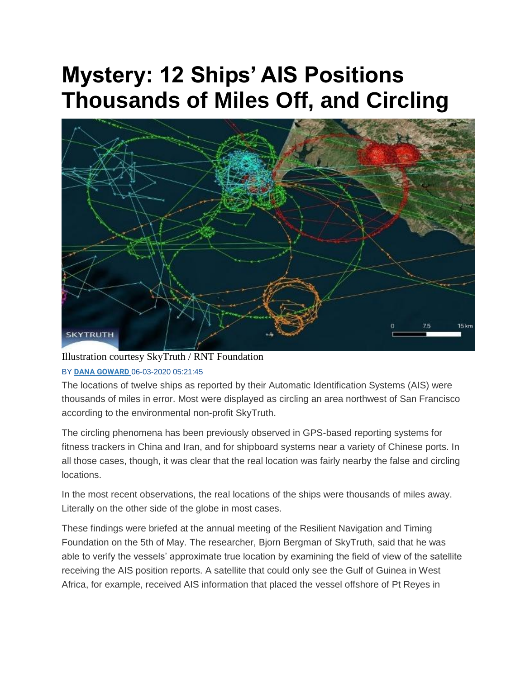## **Mystery: 12 Ships' AIS Positions Thousands of Miles Off, and Circling**



## Illustration courtesy SkyTruth / RNT Foundation BY **[DANA GOWARD](https://www.maritime-executive.com/author/dana-goward)** 06-03-2020 05:21:45

The locations of twelve ships as reported by their Automatic Identification Systems (AIS) were thousands of miles in error. Most were displayed as circling an area northwest of San Francisco according to the environmental non-profit SkyTruth.

The circling phenomena has been previously observed in GPS-based reporting systems for fitness trackers in China and Iran, and for shipboard systems near a variety of Chinese ports. In all those cases, though, it was clear that the real location was fairly nearby the false and circling locations.

In the most recent observations, the real locations of the ships were thousands of miles away. Literally on the other side of the globe in most cases.

These findings were briefed at the annual meeting of the Resilient Navigation and Timing Foundation on the 5th of May. The researcher, Bjorn Bergman of SkyTruth, said that he was able to verify the vessels' approximate true location by examining the field of view of the satellite receiving the AIS position reports. A satellite that could only see the Gulf of Guinea in West Africa, for example, received AIS information that placed the vessel offshore of Pt Reyes in